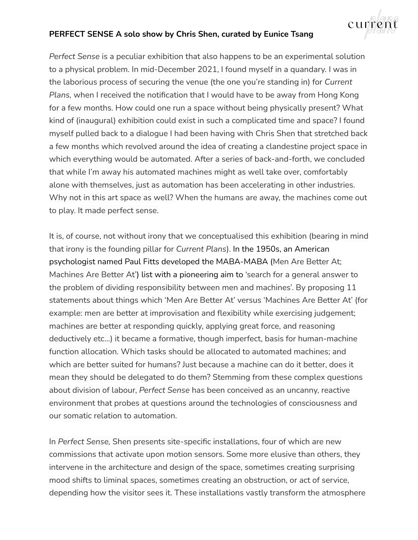## **PERFECT SENSE A solo show by Chris Shen, curated by Eunice Tsang**



*Perfect Sense* is a peculiar exhibition that also happens to be an experimental solution to a physical problem. In mid-December 2021, I found myself in a quandary. I was in the laborious process of securing the venue (the one you're standing in) for *Current Plans,* when I received the notification that I would have to be away from Hong Kong for a few months. How could one run a space without being physically present? What kind of (inaugural) exhibition could exist in such a complicated time and space? I found myself pulled back to a dialogue I had been having with Chris Shen that stretched back a few months which revolved around the idea of creating a clandestine project space in which everything would be automated. After a series of back-and-forth, we concluded that while I'm away his automated machines might as well take over, comfortably alone with themselves, just as automation has been accelerating in other industries. Why not in this art space as well? When the humans are away, the machines come out to play. It made perfect sense.

It is, of course, not without irony that we conceptualised this exhibition (bearing in mind that irony is the founding pillar for *Current Plans*). In the 1950s, an American psychologist named Paul Fitts developed the MABA-MABA (Men Are Better At; Machines Are Better At') list with a pioneering aim to 'search for a general answer to the problem of dividing responsibility between men and machines'. By proposing 11 statements about things which 'Men Are Better At' versus 'Machines Are Better At' (for example: men are better at improvisation and flexibility while exercising judgement; machines are better at responding quickly, applying great force, and reasoning deductively etc…) it became a formative, though imperfect, basis for human-machine function allocation. Which tasks should be allocated to automated machines; and which are better suited for humans? Just because a machine can do it better, does it mean they should be delegated to do them? Stemming from these complex questions about division of labour, *Perfect Sense* has been conceived as an uncanny, reactive environment that probes at questions around the technologies of consciousness and our somatic relation to automation.

In *Perfect Sense,* Shen presents site-specific installations, four of which are new commissions that activate upon motion sensors. Some more elusive than others, they intervene in the architecture and design of the space, sometimes creating surprising mood shifts to liminal spaces, sometimes creating an obstruction, or act of service, depending how the visitor sees it. These installations vastly transform the atmosphere